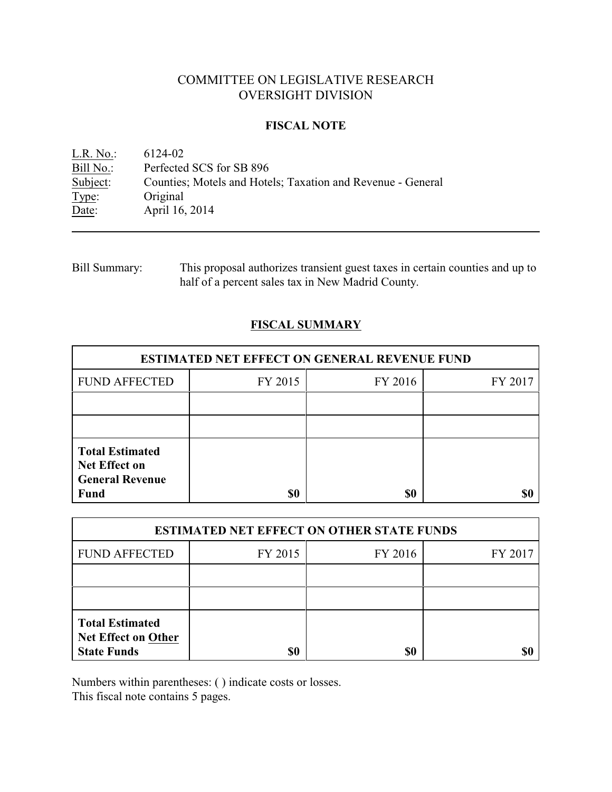# COMMITTEE ON LEGISLATIVE RESEARCH OVERSIGHT DIVISION

### **FISCAL NOTE**

<u>L.R. No.</u>: 6124-02<br>
<u>Bill No.</u>: Perfected Bill No.: Perfected SCS for SB 896<br>Subject: Counties; Motels and Hote Counties; Motels and Hotels; Taxation and Revenue - General Type: Original Date: April 16, 2014

| <b>Bill Summary:</b> | This proposal authorizes transient guest taxes in certain counties and up to |
|----------------------|------------------------------------------------------------------------------|
|                      | half of a percent sales tax in New Madrid County.                            |

## **FISCAL SUMMARY**

| <b>ESTIMATED NET EFFECT ON GENERAL REVENUE FUND</b>                      |         |         |         |  |
|--------------------------------------------------------------------------|---------|---------|---------|--|
| <b>FUND AFFECTED</b>                                                     | FY 2015 | FY 2016 | FY 2017 |  |
|                                                                          |         |         |         |  |
|                                                                          |         |         |         |  |
| <b>Total Estimated</b><br><b>Net Effect on</b><br><b>General Revenue</b> |         |         |         |  |
| <b>Fund</b>                                                              | \$0     | \$0     |         |  |

| <b>ESTIMATED NET EFFECT ON OTHER STATE FUNDS</b>                           |         |         |         |  |
|----------------------------------------------------------------------------|---------|---------|---------|--|
| <b>FUND AFFECTED</b>                                                       | FY 2015 | FY 2016 | FY 2017 |  |
|                                                                            |         |         |         |  |
|                                                                            |         |         |         |  |
| <b>Total Estimated</b><br><b>Net Effect on Other</b><br><b>State Funds</b> | \$0     | \$0     |         |  |

Numbers within parentheses: ( ) indicate costs or losses.

This fiscal note contains 5 pages.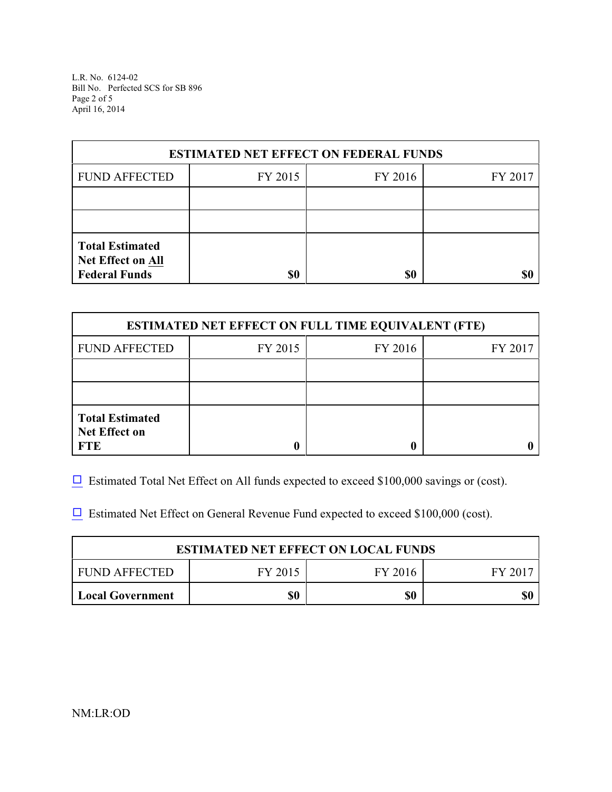L.R. No. 6124-02 Bill No. Perfected SCS for SB 896 Page 2 of 5 April 16, 2014

| <b>ESTIMATED NET EFFECT ON FEDERAL FUNDS</b>                        |         |         |         |  |
|---------------------------------------------------------------------|---------|---------|---------|--|
| <b>FUND AFFECTED</b>                                                | FY 2015 | FY 2016 | FY 2017 |  |
|                                                                     |         |         |         |  |
|                                                                     |         |         |         |  |
| <b>Total Estimated</b><br>Net Effect on All<br><b>Federal Funds</b> | \$0     | \$0     |         |  |

| <b>ESTIMATED NET EFFECT ON FULL TIME EQUIVALENT (FTE)</b>    |         |         |         |  |
|--------------------------------------------------------------|---------|---------|---------|--|
| <b>FUND AFFECTED</b>                                         | FY 2015 | FY 2016 | FY 2017 |  |
|                                                              |         |         |         |  |
|                                                              |         |         |         |  |
| <b>Total Estimated</b><br><b>Net Effect on</b><br><b>FTE</b> |         |         |         |  |

 $\Box$  Estimated Total Net Effect on All funds expected to exceed \$100,000 savings or (cost).

 $\Box$  Estimated Net Effect on General Revenue Fund expected to exceed \$100,000 (cost).

| <b>ESTIMATED NET EFFECT ON LOCAL FUNDS</b> |         |         |        |  |
|--------------------------------------------|---------|---------|--------|--|
| FUND AFFECTED                              | FY 2015 | FY 2016 | FY 201 |  |
| <b>Local Government</b>                    | \$0     | \$0     | \$0    |  |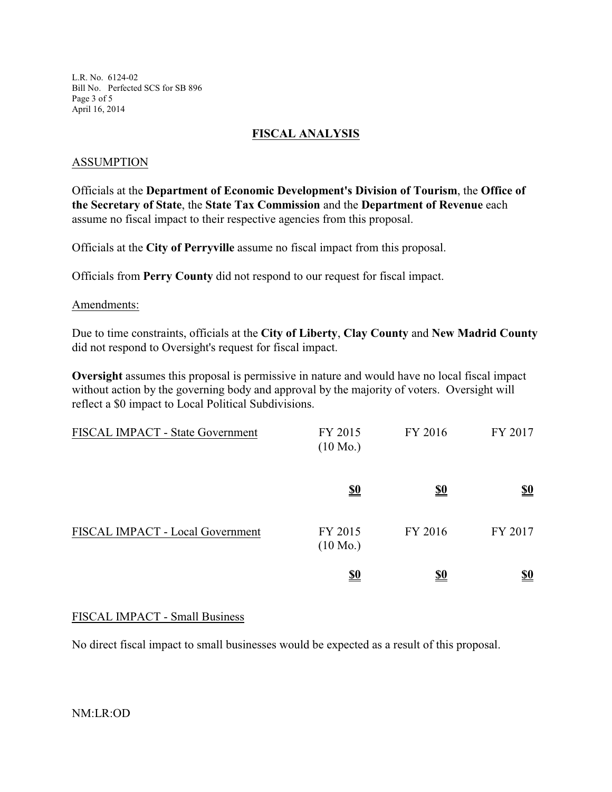L.R. No. 6124-02 Bill No. Perfected SCS for SB 896 Page 3 of 5 April 16, 2014

### **FISCAL ANALYSIS**

### ASSUMPTION

Officials at the **Department of Economic Development's Division of Tourism**, the **Office of the Secretary of State**, the **State Tax Commission** and the **Department of Revenue** each assume no fiscal impact to their respective agencies from this proposal.

Officials at the **City of Perryville** assume no fiscal impact from this proposal.

Officials from **Perry County** did not respond to our request for fiscal impact.

#### Amendments:

Due to time constraints, officials at the **City of Liberty**, **Clay County** and **New Madrid County** did not respond to Oversight's request for fiscal impact.

**Oversight** assumes this proposal is permissive in nature and would have no local fiscal impact without action by the governing body and approval by the majority of voters. Oversight will reflect a \$0 impact to Local Political Subdivisions.

| FISCAL IMPACT - State Government | FY 2015<br>$(10 \text{ Mo.})$ | FY 2016    | FY 2017                       |
|----------------------------------|-------------------------------|------------|-------------------------------|
|                                  | <u>\$0</u>                    | <u>\$0</u> | $\underline{\underline{\$0}}$ |
| FISCAL IMPACT - Local Government | FY 2015<br>$(10 \text{ Mo.})$ | FY 2016    | FY 2017                       |
|                                  | <u>\$0</u>                    | <u>\$0</u> | <u>\$0</u>                    |

## FISCAL IMPACT - Small Business

No direct fiscal impact to small businesses would be expected as a result of this proposal.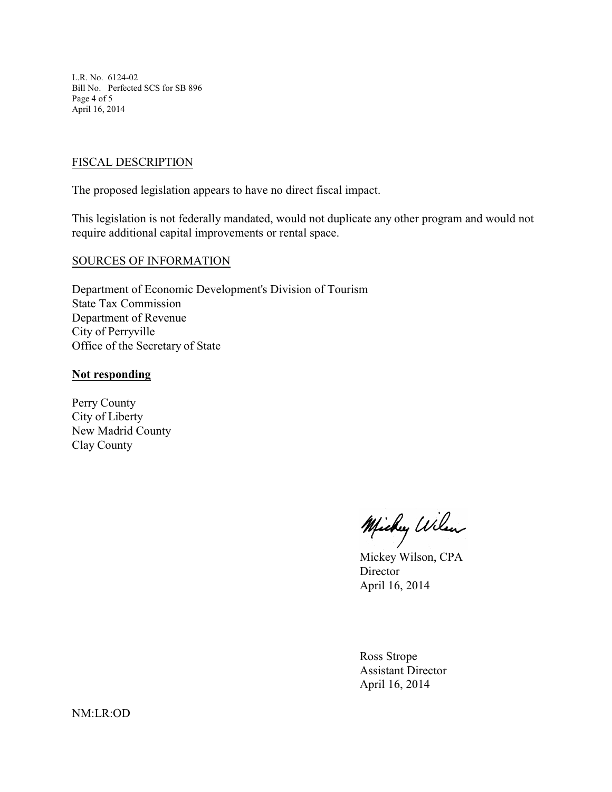L.R. No. 6124-02 Bill No. Perfected SCS for SB 896 Page 4 of 5 April 16, 2014

### FISCAL DESCRIPTION

The proposed legislation appears to have no direct fiscal impact.

This legislation is not federally mandated, would not duplicate any other program and would not require additional capital improvements or rental space.

#### SOURCES OF INFORMATION

Department of Economic Development's Division of Tourism State Tax Commission Department of Revenue City of Perryville Office of the Secretary of State

#### **Not responding**

Perry County City of Liberty New Madrid County Clay County

Michy Wilen

Mickey Wilson, CPA Director April 16, 2014

Ross Strope Assistant Director April 16, 2014